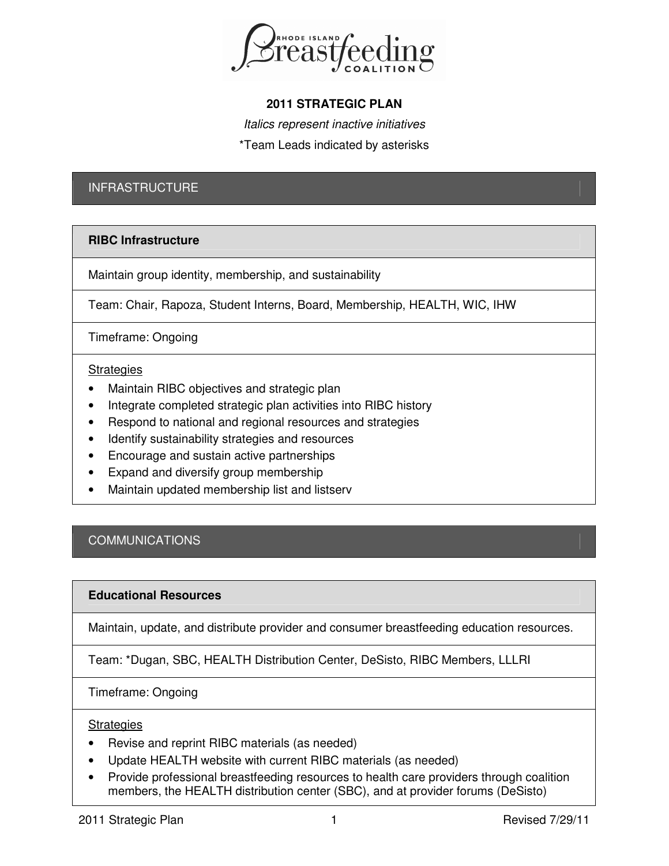

# **2011 STRATEGIC PLAN**

Italics represent inactive initiatives \*Team Leads indicated by asterisks

# INFRASTRUCTURE

# **RIBC Infrastructure**

Maintain group identity, membership, and sustainability

Team: Chair, Rapoza, Student Interns, Board, Membership, HEALTH, WIC, IHW

Timeframe: Ongoing

## **Strategies**

- Maintain RIBC objectives and strategic plan
- Integrate completed strategic plan activities into RIBC history
- Respond to national and regional resources and strategies
- Identify sustainability strategies and resources
- Encourage and sustain active partnerships
- Expand and diversify group membership
- Maintain updated membership list and listserv

# **COMMUNICATIONS**

## **Educational Resources**

Maintain, update, and distribute provider and consumer breastfeeding education resources.

Team: \*Dugan, SBC, HEALTH Distribution Center, DeSisto, RIBC Members, LLLRI

Timeframe: Ongoing

## **Strategies**

- Revise and reprint RIBC materials (as needed)
- Update HEALTH website with current RIBC materials (as needed)
- Provide professional breastfeeding resources to health care providers through coalition members, the HEALTH distribution center (SBC), and at provider forums (DeSisto)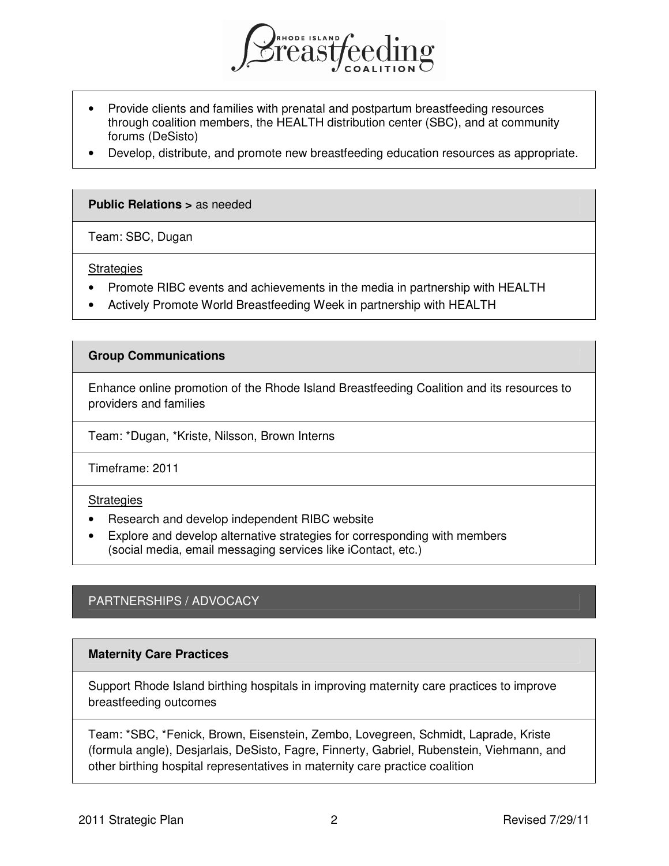

- Provide clients and families with prenatal and postpartum breastfeeding resources through coalition members, the HEALTH distribution center (SBC), and at community forums (DeSisto)
- Develop, distribute, and promote new breastfeeding education resources as appropriate.

#### **Public Relations >** as needed

Team: SBC, Dugan

**Strategies** 

- Promote RIBC events and achievements in the media in partnership with HEALTH
- Actively Promote World Breastfeeding Week in partnership with HEALTH

#### **Group Communications**

Enhance online promotion of the Rhode Island Breastfeeding Coalition and its resources to providers and families

Team: \*Dugan, \*Kriste, Nilsson, Brown Interns

Timeframe: 2011

#### **Strategies**

- Research and develop independent RIBC website
- Explore and develop alternative strategies for corresponding with members (social media, email messaging services like iContact, etc.)

# PARTNERSHIPS / ADVOCACY

## **Maternity Care Practices**

Support Rhode Island birthing hospitals in improving maternity care practices to improve breastfeeding outcomes

Team: \*SBC, \*Fenick, Brown, Eisenstein, Zembo, Lovegreen, Schmidt, Laprade, Kriste (formula angle), Desjarlais, DeSisto, Fagre, Finnerty, Gabriel, Rubenstein, Viehmann, and other birthing hospital representatives in maternity care practice coalition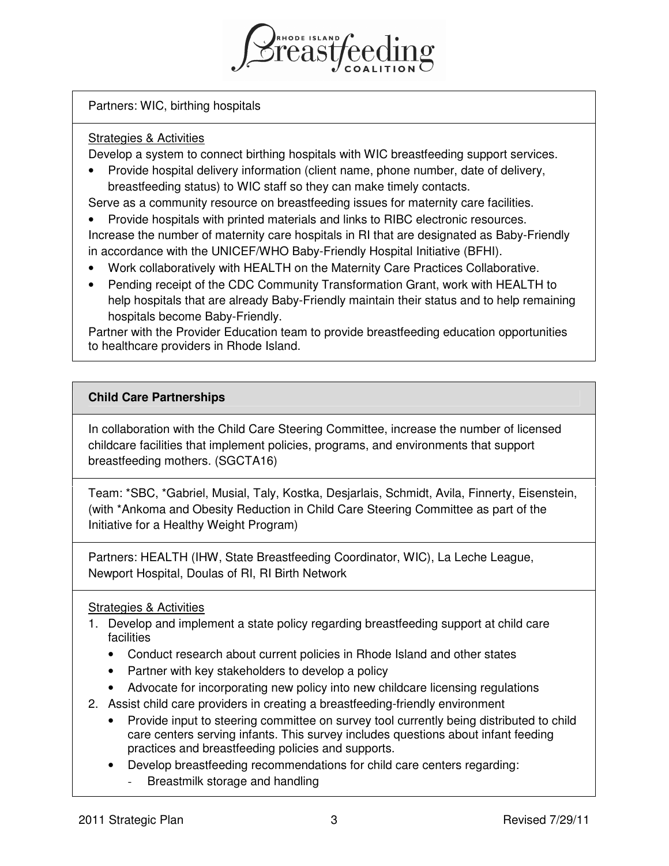

Partners: WIC, birthing hospitals

## Strategies & Activities

Develop a system to connect birthing hospitals with WIC breastfeeding support services.

• Provide hospital delivery information (client name, phone number, date of delivery, breastfeeding status) to WIC staff so they can make timely contacts.

Serve as a community resource on breastfeeding issues for maternity care facilities.

- Provide hospitals with printed materials and links to RIBC electronic resources. Increase the number of maternity care hospitals in RI that are designated as Baby-Friendly in accordance with the UNICEF/WHO Baby-Friendly Hospital Initiative (BFHI).
- Work collaboratively with HEALTH on the Maternity Care Practices Collaborative.
- Pending receipt of the CDC Community Transformation Grant, work with HEALTH to help hospitals that are already Baby-Friendly maintain their status and to help remaining hospitals become Baby-Friendly.

Partner with the Provider Education team to provide breastfeeding education opportunities to healthcare providers in Rhode Island.

# **Child Care Partnerships**

In collaboration with the Child Care Steering Committee, increase the number of licensed childcare facilities that implement policies, programs, and environments that support breastfeeding mothers. (SGCTA16)

Team: \*SBC, \*Gabriel, Musial, Taly, Kostka, Desjarlais, Schmidt, Avila, Finnerty, Eisenstein, (with \*Ankoma and Obesity Reduction in Child Care Steering Committee as part of the Initiative for a Healthy Weight Program)

Partners: HEALTH (IHW, State Breastfeeding Coordinator, WIC), La Leche League, Newport Hospital, Doulas of RI, RI Birth Network

# Strategies & Activities

- 1. Develop and implement a state policy regarding breastfeeding support at child care facilities
	- Conduct research about current policies in Rhode Island and other states
	- Partner with key stakeholders to develop a policy
	- Advocate for incorporating new policy into new childcare licensing regulations
- 2. Assist child care providers in creating a breastfeeding-friendly environment
	- Provide input to steering committee on survey tool currently being distributed to child care centers serving infants. This survey includes questions about infant feeding practices and breastfeeding policies and supports.
	- Develop breastfeeding recommendations for child care centers regarding:
		- Breastmilk storage and handling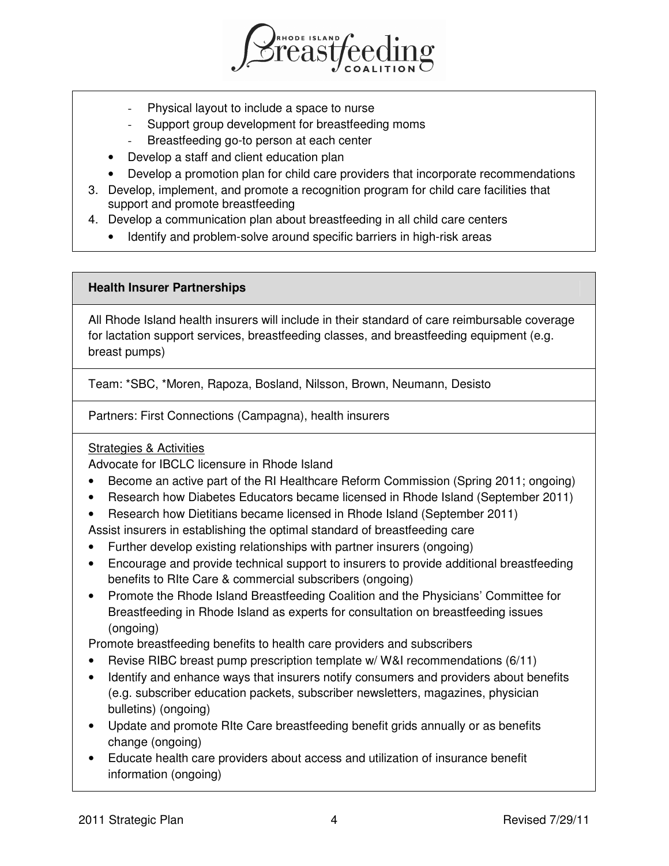

- Physical layout to include a space to nurse
- Support group development for breastfeeding moms
- Breastfeeding go-to person at each center
- Develop a staff and client education plan
- Develop a promotion plan for child care providers that incorporate recommendations
- 3. Develop, implement, and promote a recognition program for child care facilities that support and promote breastfeeding
- 4. Develop a communication plan about breastfeeding in all child care centers
	- Identify and problem-solve around specific barriers in high-risk areas

## **Health Insurer Partnerships**

All Rhode Island health insurers will include in their standard of care reimbursable coverage for lactation support services, breastfeeding classes, and breastfeeding equipment (e.g. breast pumps)

Team: \*SBC, \*Moren, Rapoza, Bosland, Nilsson, Brown, Neumann, Desisto

Partners: First Connections (Campagna), health insurers

# Strategies & Activities

Advocate for IBCLC licensure in Rhode Island

- Become an active part of the RI Healthcare Reform Commission (Spring 2011; ongoing)
- Research how Diabetes Educators became licensed in Rhode Island (September 2011)
- Research how Dietitians became licensed in Rhode Island (September 2011)

Assist insurers in establishing the optimal standard of breastfeeding care

- Further develop existing relationships with partner insurers (ongoing)
- Encourage and provide technical support to insurers to provide additional breastfeeding benefits to RIte Care & commercial subscribers (ongoing)
- Promote the Rhode Island Breastfeeding Coalition and the Physicians' Committee for Breastfeeding in Rhode Island as experts for consultation on breastfeeding issues (ongoing)

Promote breastfeeding benefits to health care providers and subscribers

- Revise RIBC breast pump prescription template w/ W&I recommendations (6/11)
- Identify and enhance ways that insurers notify consumers and providers about benefits (e.g. subscriber education packets, subscriber newsletters, magazines, physician bulletins) (ongoing)
- Update and promote RIte Care breastfeeding benefit grids annually or as benefits change (ongoing)
- Educate health care providers about access and utilization of insurance benefit information (ongoing)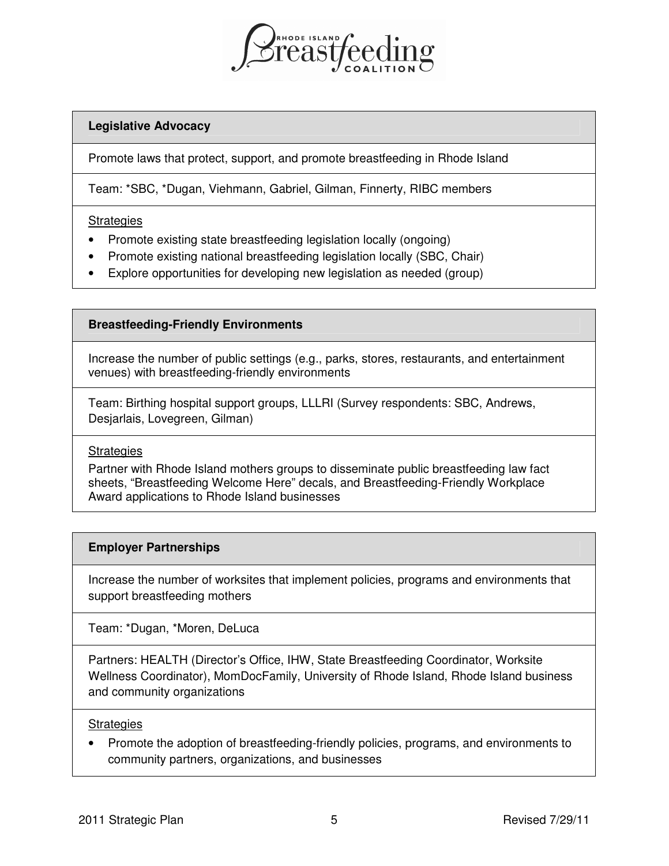

## **Legislative Advocacy**

Promote laws that protect, support, and promote breastfeeding in Rhode Island

Team: \*SBC, \*Dugan, Viehmann, Gabriel, Gilman, Finnerty, RIBC members

#### **Strategies**

- Promote existing state breastfeeding legislation locally (ongoing)
- Promote existing national breastfeeding legislation locally (SBC, Chair)
- Explore opportunities for developing new legislation as needed (group)

## **Breastfeeding-Friendly Environments**

Increase the number of public settings (e.g., parks, stores, restaurants, and entertainment venues) with breastfeeding-friendly environments

Team: Birthing hospital support groups, LLLRI (Survey respondents: SBC, Andrews, Desjarlais, Lovegreen, Gilman)

## **Strategies**

Partner with Rhode Island mothers groups to disseminate public breastfeeding law fact sheets, "Breastfeeding Welcome Here" decals, and Breastfeeding-Friendly Workplace Award applications to Rhode Island businesses

## **Employer Partnerships**

Increase the number of worksites that implement policies, programs and environments that support breastfeeding mothers

Team: \*Dugan, \*Moren, DeLuca

Partners: HEALTH (Director's Office, IHW, State Breastfeeding Coordinator, Worksite Wellness Coordinator), MomDocFamily, University of Rhode Island, Rhode Island business and community organizations

#### **Strategies**

• Promote the adoption of breastfeeding-friendly policies, programs, and environments to community partners, organizations, and businesses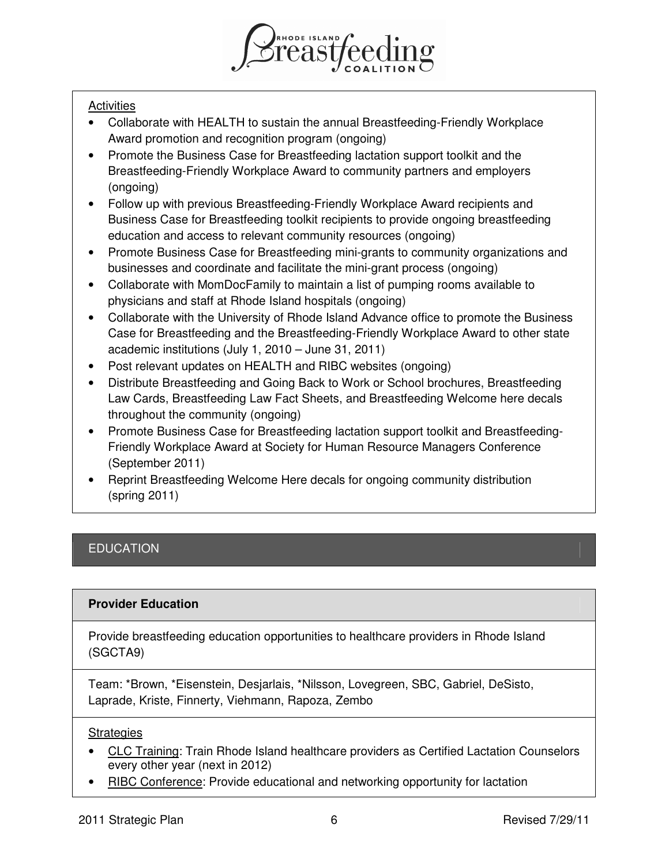

## **Activities**

- Collaborate with HEALTH to sustain the annual Breastfeeding-Friendly Workplace Award promotion and recognition program (ongoing)
- Promote the Business Case for Breastfeeding lactation support toolkit and the Breastfeeding-Friendly Workplace Award to community partners and employers (ongoing)
- Follow up with previous Breastfeeding-Friendly Workplace Award recipients and Business Case for Breastfeeding toolkit recipients to provide ongoing breastfeeding education and access to relevant community resources (ongoing)
- Promote Business Case for Breastfeeding mini-grants to community organizations and businesses and coordinate and facilitate the mini-grant process (ongoing)
- Collaborate with MomDocFamily to maintain a list of pumping rooms available to physicians and staff at Rhode Island hospitals (ongoing)
- Collaborate with the University of Rhode Island Advance office to promote the Business Case for Breastfeeding and the Breastfeeding-Friendly Workplace Award to other state academic institutions (July 1, 2010 – June 31, 2011)
- Post relevant updates on HEALTH and RIBC websites (ongoing)
- Distribute Breastfeeding and Going Back to Work or School brochures, Breastfeeding Law Cards, Breastfeeding Law Fact Sheets, and Breastfeeding Welcome here decals throughout the community (ongoing)
- Promote Business Case for Breastfeeding lactation support toolkit and Breastfeeding-Friendly Workplace Award at Society for Human Resource Managers Conference (September 2011)
- Reprint Breastfeeding Welcome Here decals for ongoing community distribution (spring 2011)

# **EDUCATION**

# **Provider Education**

Provide breastfeeding education opportunities to healthcare providers in Rhode Island (SGCTA9)

Team: \*Brown, \*Eisenstein, Desjarlais, \*Nilsson, Lovegreen, SBC, Gabriel, DeSisto, Laprade, Kriste, Finnerty, Viehmann, Rapoza, Zembo

## Strategies

- CLC Training: Train Rhode Island healthcare providers as Certified Lactation Counselors every other year (next in 2012)
- RIBC Conference: Provide educational and networking opportunity for lactation